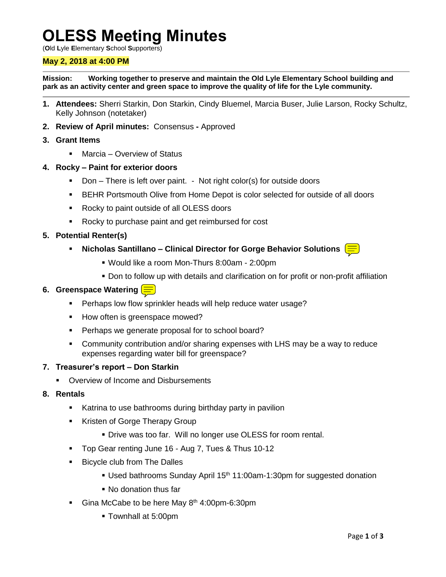# **OLESS Meeting Minutes**

(**O**ld **L**yle **E**lementary **S**chool **S**upporters)

### **May 2, 2018 at 4:00 PM**

**Mission: Working together to preserve and maintain the Old Lyle Elementary School building and park as an activity center and green space to improve the quality of life for the Lyle community.**

- **1. Attendees:** Sherri Starkin, Don Starkin, Cindy Bluemel, Marcia Buser, Julie Larson, Rocky Schultz, Kelly Johnson (notetaker)
- **2. Review of April minutes:** Consensus **-** Approved
- **3. Grant Items**
	- Marcia Overview of Status
- **4. Rocky – Paint for exterior doors**
	- Don There is left over paint. Not right color(s) for outside doors
	- BEHR Portsmouth Olive from Home Depot is color selected for outside of all doors
	- Rocky to paint outside of all OLESS doors
	- Rocky to purchase paint and get reimbursed for cost
- **5. Potential Renter(s)**
	- **Nicholas Santillano – Clinical Director for Gorge Behavior Solutions**
		-
		- Would like a room Mon-Thurs 8:00am 2:00pm
		- Don to follow up with details and clarification on for profit or non-profit affiliation

#### **6. Greenspace Watering**

- **Perhaps low flow sprinkler heads will help reduce water usage?**
- How often is greenspace mowed?
- **Perhaps we generate proposal for to school board?**
- Community contribution and/or sharing expenses with LHS may be a way to reduce expenses regarding water bill for greenspace?

### **7. Treasurer's report – Don Starkin**

- **Overview of Income and Disbursements**
- **8. Rentals**
	- **Katrina to use bathrooms during birthday party in pavilion**
	- Kristen of Gorge Therapy Group
		- Drive was too far. Will no longer use OLESS for room rental.
	- Top Gear renting June 16 Aug 7, Tues & Thus 10-12
	- **Bicycle club from The Dalles** 
		- Used bathrooms Sunday April 15<sup>th</sup> 11:00am-1:30pm for suggested donation
		- No donation thus far
	- Gina McCabe to be here May  $8<sup>th</sup>$  4:00pm-6:30pm
		- Townhall at 5:00pm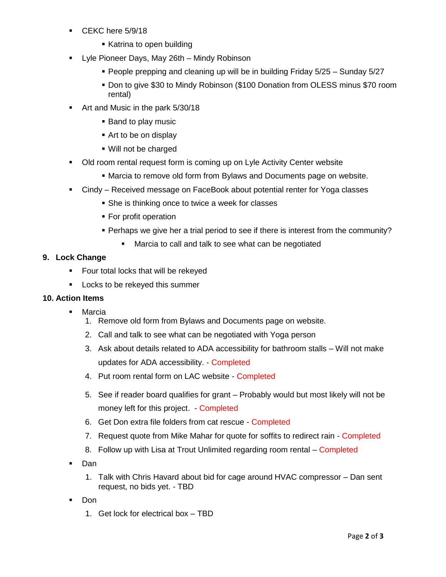- CEKC here 5/9/18
	- **Katrina to open building**
- **-** Lyle Pioneer Days, May 26th Mindy Robinson
	- **People prepping and cleaning up will be in building Friday 5/25 Sunday 5/27**
	- Don to give \$30 to Mindy Robinson (\$100 Donation from OLESS minus \$70 room rental)
- Art and Music in the park 5/30/18
	- Band to play music
	- Art to be on display
	- Will not be charged
- Old room rental request form is coming up on Lyle Activity Center website
	- Marcia to remove old form from Bylaws and Documents page on website.
- Cindy Received message on FaceBook about potential renter for Yoga classes
	- **She is thinking once to twice a week for classes**
	- **For profit operation**
	- Perhaps we give her a trial period to see if there is interest from the community?
		- Marcia to call and talk to see what can be negotiated

## **9. Lock Change**

- **Figure 1** Four total locks that will be rekeyed
- **Locks to be rekeyed this summer**

## **10. Action Items**

- Marcia
	- 1. Remove old form from Bylaws and Documents page on website.
	- 2. Call and talk to see what can be negotiated with Yoga person
	- 3. Ask about details related to ADA accessibility for bathroom stalls Will not make updates for ADA accessibility. - Completed
	- 4. Put room rental form on LAC website Completed
	- 5. See if reader board qualifies for grant Probably would but most likely will not be money left for this project. - Completed
	- 6. Get Don extra file folders from cat rescue Completed
	- 7. Request quote from Mike Mahar for quote for soffits to redirect rain Completed
	- 8. Follow up with Lisa at Trout Unlimited regarding room rental Completed
- Dan
	- 1. Talk with Chris Havard about bid for cage around HVAC compressor Dan sent request, no bids yet. - TBD
- Don
	- 1. Get lock for electrical box TBD